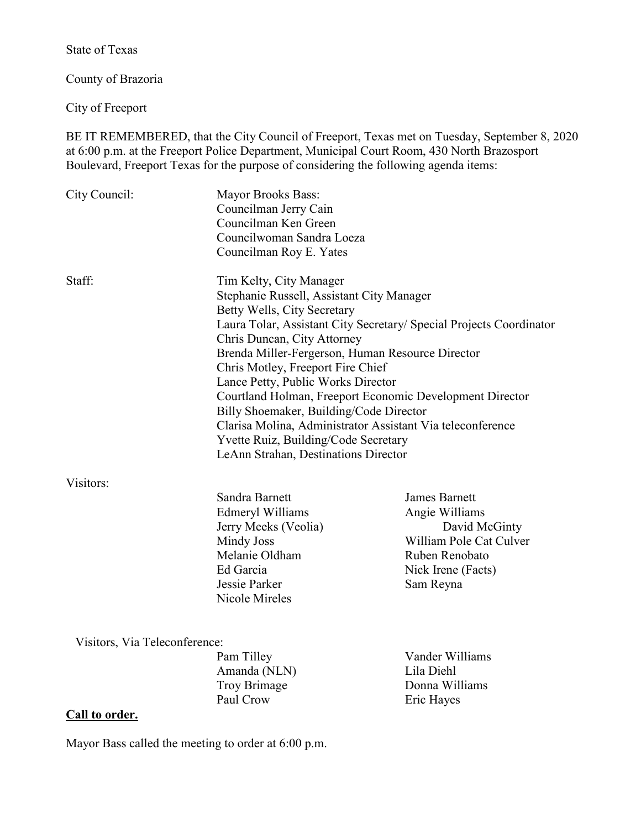State of Texas

County of Brazoria

City of Freeport

BE IT REMEMBERED, that the City Council of Freeport, Texas met on Tuesday, September 8, 2020 at 6:00 p.m. at the Freeport Police Department, Municipal Court Room, 430 North Brazosport Boulevard, Freeport Texas for the purpose of considering the following agenda items:

| City Council:                                   | <b>Mayor Brooks Bass:</b><br>Councilman Jerry Cain<br>Councilman Ken Green<br>Councilwoman Sandra Loeza<br>Councilman Roy E. Yates                                                                                                                                                                                                                                                                                                                                                                                                                                                            |                                                                                                                                         |
|-------------------------------------------------|-----------------------------------------------------------------------------------------------------------------------------------------------------------------------------------------------------------------------------------------------------------------------------------------------------------------------------------------------------------------------------------------------------------------------------------------------------------------------------------------------------------------------------------------------------------------------------------------------|-----------------------------------------------------------------------------------------------------------------------------------------|
| Staff:                                          | Tim Kelty, City Manager<br>Stephanie Russell, Assistant City Manager<br>Betty Wells, City Secretary<br>Laura Tolar, Assistant City Secretary/ Special Projects Coordinator<br>Chris Duncan, City Attorney<br>Brenda Miller-Fergerson, Human Resource Director<br>Chris Motley, Freeport Fire Chief<br>Lance Petty, Public Works Director<br>Courtland Holman, Freeport Economic Development Director<br>Billy Shoemaker, Building/Code Director<br>Clarisa Molina, Administrator Assistant Via teleconference<br>Yvette Ruiz, Building/Code Secretary<br>LeAnn Strahan, Destinations Director |                                                                                                                                         |
| Visitors:                                       | Sandra Barnett<br>Edmeryl Williams<br>Jerry Meeks (Veolia)<br>Mindy Joss<br>Melanie Oldham<br>Ed Garcia<br>Jessie Parker<br>Nicole Mireles                                                                                                                                                                                                                                                                                                                                                                                                                                                    | <b>James Barnett</b><br>Angie Williams<br>David McGinty<br>William Pole Cat Culver<br>Ruben Renobato<br>Nick Irene (Facts)<br>Sam Reyna |
| Visitors, Via Teleconference:<br>Call to order. | Pam Tilley<br>Amanda (NLN)<br><b>Troy Brimage</b><br>Paul Crow                                                                                                                                                                                                                                                                                                                                                                                                                                                                                                                                | Vander Williams<br>Lila Diehl<br>Donna Williams<br>Eric Hayes                                                                           |

Mayor Bass called the meeting to order at 6:00 p.m.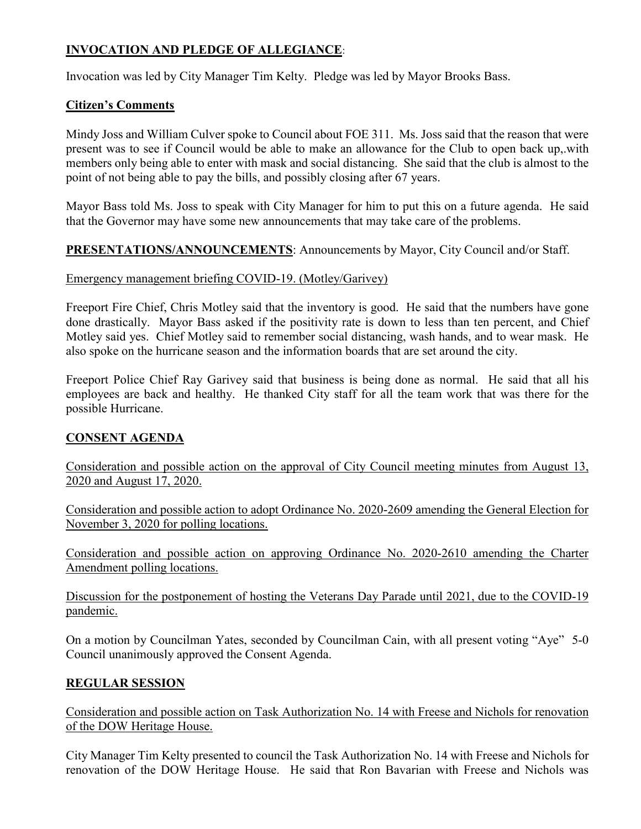# **INVOCATION AND PLEDGE OF ALLEGIANCE**:

Invocation was led by City Manager Tim Kelty. Pledge was led by Mayor Brooks Bass.

## **Citizen's Comments**

Mindy Joss and William Culver spoke to Council about FOE 311. Ms. Joss said that the reason that were present was to see if Council would be able to make an allowance for the Club to open back up,.with members only being able to enter with mask and social distancing. She said that the club is almost to the point of not being able to pay the bills, and possibly closing after 67 years.

Mayor Bass told Ms. Joss to speak with City Manager for him to put this on a future agenda. He said that the Governor may have some new announcements that may take care of the problems.

# **PRESENTATIONS/ANNOUNCEMENTS**: Announcements by Mayor, City Council and/or Staff.

### Emergency management briefing COVID-19. (Motley/Garivey)

Freeport Fire Chief, Chris Motley said that the inventory is good. He said that the numbers have gone done drastically. Mayor Bass asked if the positivity rate is down to less than ten percent, and Chief Motley said yes. Chief Motley said to remember social distancing, wash hands, and to wear mask. He also spoke on the hurricane season and the information boards that are set around the city.

Freeport Police Chief Ray Garivey said that business is being done as normal. He said that all his employees are back and healthy. He thanked City staff for all the team work that was there for the possible Hurricane.

### **CONSENT AGENDA**

Consideration and possible action on the approval of City Council meeting minutes from August 13, 2020 and August 17, 2020.

Consideration and possible action to adopt Ordinance No. 2020-2609 amending the General Election for November 3, 2020 for polling locations.

Consideration and possible action on approving Ordinance No. 2020-2610 amending the Charter Amendment polling locations.

Discussion for the postponement of hosting the Veterans Day Parade until 2021, due to the COVID-19 pandemic.

On a motion by Councilman Yates, seconded by Councilman Cain, with all present voting "Aye" 5-0 Council unanimously approved the Consent Agenda.

# **REGULAR SESSION**

Consideration and possible action on Task Authorization No. 14 with Freese and Nichols for renovation of the DOW Heritage House.

City Manager Tim Kelty presented to council the Task Authorization No. 14 with Freese and Nichols for renovation of the DOW Heritage House. He said that Ron Bavarian with Freese and Nichols was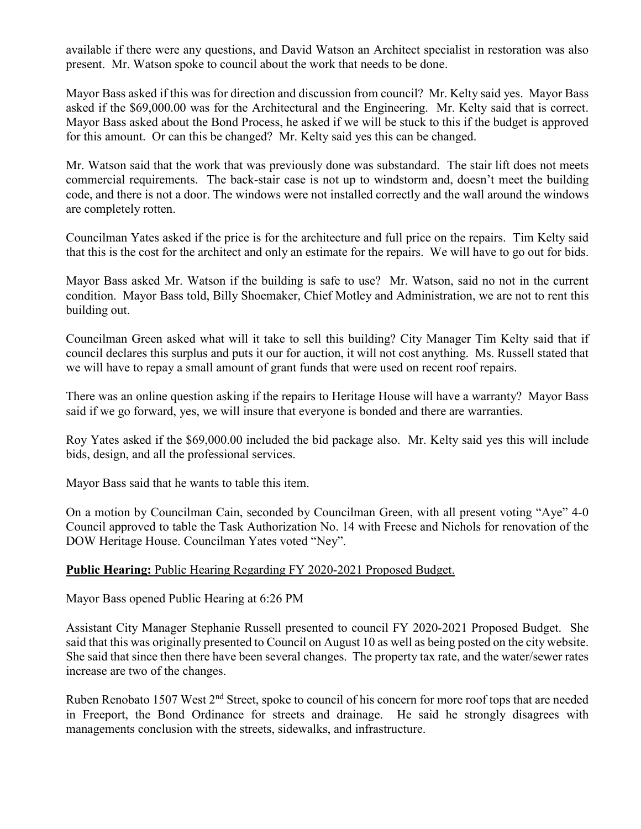available if there were any questions, and David Watson an Architect specialist in restoration was also present. Mr. Watson spoke to council about the work that needs to be done.

Mayor Bass asked if this was for direction and discussion from council? Mr. Kelty said yes. Mayor Bass asked if the \$69,000.00 was for the Architectural and the Engineering. Mr. Kelty said that is correct. Mayor Bass asked about the Bond Process, he asked if we will be stuck to this if the budget is approved for this amount. Or can this be changed? Mr. Kelty said yes this can be changed.

Mr. Watson said that the work that was previously done was substandard. The stair lift does not meets commercial requirements. The back-stair case is not up to windstorm and, doesn't meet the building code, and there is not a door. The windows were not installed correctly and the wall around the windows are completely rotten.

Councilman Yates asked if the price is for the architecture and full price on the repairs. Tim Kelty said that this is the cost for the architect and only an estimate for the repairs. We will have to go out for bids.

Mayor Bass asked Mr. Watson if the building is safe to use? Mr. Watson, said no not in the current condition. Mayor Bass told, Billy Shoemaker, Chief Motley and Administration, we are not to rent this building out.

Councilman Green asked what will it take to sell this building? City Manager Tim Kelty said that if council declares this surplus and puts it our for auction, it will not cost anything. Ms. Russell stated that we will have to repay a small amount of grant funds that were used on recent roof repairs.

There was an online question asking if the repairs to Heritage House will have a warranty? Mayor Bass said if we go forward, yes, we will insure that everyone is bonded and there are warranties.

Roy Yates asked if the \$69,000.00 included the bid package also. Mr. Kelty said yes this will include bids, design, and all the professional services.

Mayor Bass said that he wants to table this item.

On a motion by Councilman Cain, seconded by Councilman Green, with all present voting "Aye" 4-0 Council approved to table the Task Authorization No. 14 with Freese and Nichols for renovation of the DOW Heritage House. Councilman Yates voted "Ney".

### **Public Hearing:** Public Hearing Regarding FY 2020-2021 Proposed Budget.

Mayor Bass opened Public Hearing at 6:26 PM

Assistant City Manager Stephanie Russell presented to council FY 2020-2021 Proposed Budget. She said that this was originally presented to Council on August 10 as well as being posted on the city website. She said that since then there have been several changes. The property tax rate, and the water/sewer rates increase are two of the changes.

Ruben Renobato 1507 West 2<sup>nd</sup> Street, spoke to council of his concern for more roof tops that are needed in Freeport, the Bond Ordinance for streets and drainage. He said he strongly disagrees with managements conclusion with the streets, sidewalks, and infrastructure.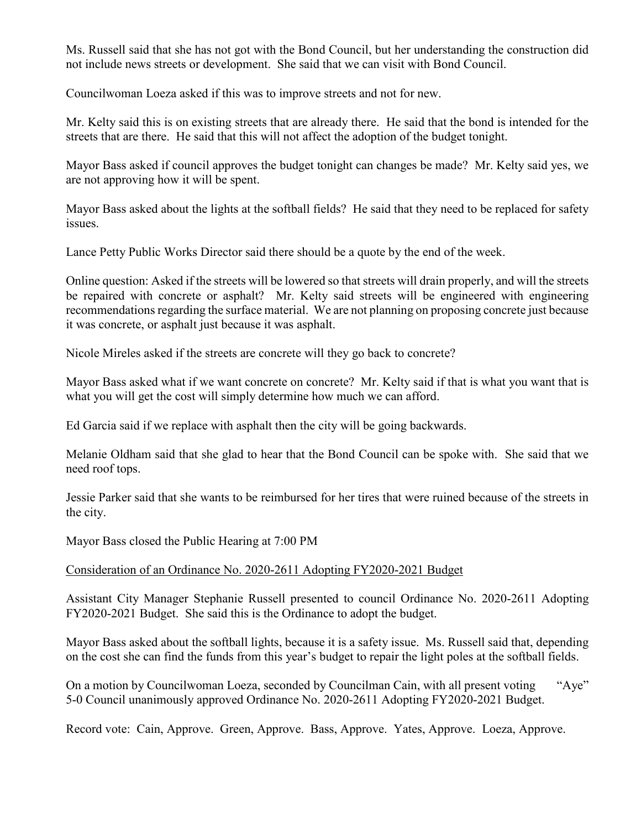Ms. Russell said that she has not got with the Bond Council, but her understanding the construction did not include news streets or development. She said that we can visit with Bond Council.

Councilwoman Loeza asked if this was to improve streets and not for new.

Mr. Kelty said this is on existing streets that are already there. He said that the bond is intended for the streets that are there. He said that this will not affect the adoption of the budget tonight.

Mayor Bass asked if council approves the budget tonight can changes be made? Mr. Kelty said yes, we are not approving how it will be spent.

Mayor Bass asked about the lights at the softball fields? He said that they need to be replaced for safety issues.

Lance Petty Public Works Director said there should be a quote by the end of the week.

Online question: Asked if the streets will be lowered so that streets will drain properly, and will the streets be repaired with concrete or asphalt? Mr. Kelty said streets will be engineered with engineering recommendations regarding the surface material. We are not planning on proposing concrete just because it was concrete, or asphalt just because it was asphalt.

Nicole Mireles asked if the streets are concrete will they go back to concrete?

Mayor Bass asked what if we want concrete on concrete? Mr. Kelty said if that is what you want that is what you will get the cost will simply determine how much we can afford.

Ed Garcia said if we replace with asphalt then the city will be going backwards.

Melanie Oldham said that she glad to hear that the Bond Council can be spoke with. She said that we need roof tops.

Jessie Parker said that she wants to be reimbursed for her tires that were ruined because of the streets in the city.

Mayor Bass closed the Public Hearing at 7:00 PM

### Consideration of an Ordinance No. 2020-2611 Adopting FY2020-2021 Budget

Assistant City Manager Stephanie Russell presented to council Ordinance No. 2020-2611 Adopting FY2020-2021 Budget. She said this is the Ordinance to adopt the budget.

Mayor Bass asked about the softball lights, because it is a safety issue. Ms. Russell said that, depending on the cost she can find the funds from this year's budget to repair the light poles at the softball fields.

On a motion by Councilwoman Loeza, seconded by Councilman Cain, with all present voting "Aye" 5-0 Council unanimously approved Ordinance No. 2020-2611 Adopting FY2020-2021 Budget.

Record vote: Cain, Approve. Green, Approve. Bass, Approve. Yates, Approve. Loeza, Approve.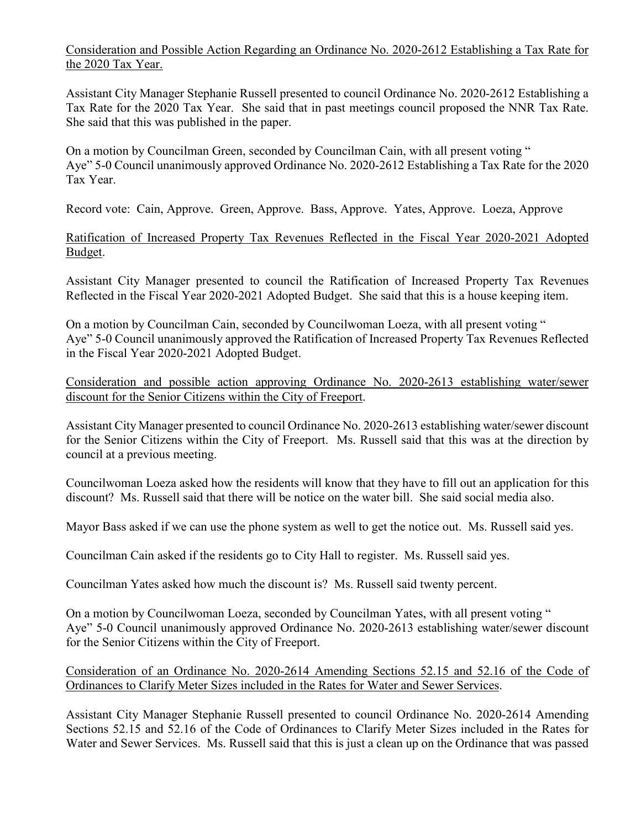Consideration and Possible Action Regarding an Ordinance No. 2020-2612 Establishing a Tax Rate for the 2020 Tax Year.

Assistant City Manager Stephanie Russell presented to council Ordinance No. 2020-2612 Establishing a Tax Rate for the 2020 Tax Year. She said that in past meetings council proposed the NNR Tax Rate. She said that this was published in the paper.

On a motion by Councilman Green, seconded by Councilman Cain, with all present voting " Aye" 5-0 Council unanimously approved Ordinance No. 2020-2612 Establishing a Tax Rate for the 2020 Tax Year.

Record vote: Cain, Approve. Green, Approve. Bass, Approve. Yates, Approve. Loeza, Approve

Ratification of Increased Property Tax Revenues Reflected in the Fiscal Year 2020-2021 Adopted Budget.

Assistant City Manager presented to council the Ratification of Increased Property Tax Revenues Reflected in the Fiscal Year 2020-2021 Adopted Budget. She said that this is a house keeping item.

On a motion by Councilman Cain, seconded by Councilwoman Loeza, with all present voting " Aye" 5-0 Council unanimously approved the Ratification of Increased Property Tax Revenues Reflected in the Fiscal Year 2020-2021 Adopted Budget.

Consideration and possible action approving Ordinance No. 2020-2613 establishing water/sewer discount for the Senior Citizens within the City of Freeport.

Assistant City Manager presented to council Ordinance No. 2020-2613 establishing water/sewer discount for the Senior Citizens within the City of Freeport. Ms. Russell said that this was at the direction by council at a previous meeting.

Councilwoman Loeza asked how the residents will know that they have to fill out an application for this discount? Ms. Russell said that there will be notice on the water bill. She said social media also.

Mayor Bass asked if we can use the phone system as well to get the notice out. Ms. Russell said yes.

Councilman Cain asked if the residents go to City Hall to register. Ms. Russell said yes.

Councilman Yates asked how much the discount is? Ms. Russell said twenty percent.

On a motion by Councilwoman Loeza, seconded by Councilman Yates, with all present voting " Aye" 5-0 Council unanimously approved Ordinance No. 2020-2613 establishing water/sewer discount for the Senior Citizens within the City of Freeport.

## Consideration of an Ordinance No. 2020-2614 Amending Sections 52.15 and 52.16 of the Code of Ordinances to Clarify Meter Sizes included in the Rates for Water and Sewer Services.

Assistant City Manager Stephanie Russell presented to council Ordinance No. 2020-2614 Amending Sections 52.15 and 52.16 of the Code of Ordinances to Clarify Meter Sizes included in the Rates for Water and Sewer Services. Ms. Russell said that this is just a clean up on the Ordinance that was passed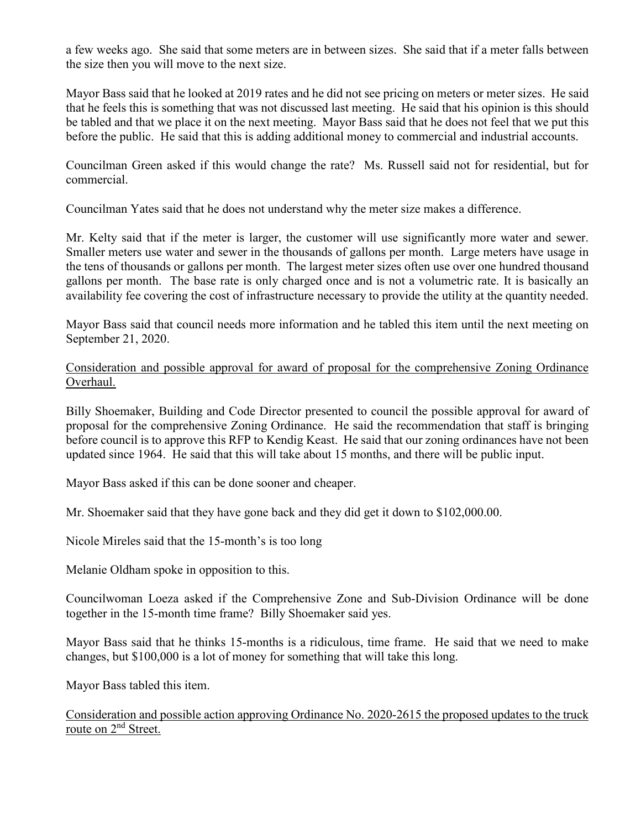a few weeks ago. She said that some meters are in between sizes. She said that if a meter falls between the size then you will move to the next size.

Mayor Bass said that he looked at 2019 rates and he did not see pricing on meters or meter sizes. He said that he feels this is something that was not discussed last meeting. He said that his opinion is this should be tabled and that we place it on the next meeting. Mayor Bass said that he does not feel that we put this before the public. He said that this is adding additional money to commercial and industrial accounts.

Councilman Green asked if this would change the rate? Ms. Russell said not for residential, but for commercial.

Councilman Yates said that he does not understand why the meter size makes a difference.

Mr. Kelty said that if the meter is larger, the customer will use significantly more water and sewer. Smaller meters use water and sewer in the thousands of gallons per month. Large meters have usage in the tens of thousands or gallons per month. The largest meter sizes often use over one hundred thousand gallons per month. The base rate is only charged once and is not a volumetric rate. It is basically an availability fee covering the cost of infrastructure necessary to provide the utility at the quantity needed.

Mayor Bass said that council needs more information and he tabled this item until the next meeting on September 21, 2020.

Consideration and possible approval for award of proposal for the comprehensive Zoning Ordinance Overhaul.

Billy Shoemaker, Building and Code Director presented to council the possible approval for award of proposal for the comprehensive Zoning Ordinance. He said the recommendation that staff is bringing before council is to approve this RFP to Kendig Keast. He said that our zoning ordinances have not been updated since 1964. He said that this will take about 15 months, and there will be public input.

Mayor Bass asked if this can be done sooner and cheaper.

Mr. Shoemaker said that they have gone back and they did get it down to \$102,000.00.

Nicole Mireles said that the 15-month's is too long

Melanie Oldham spoke in opposition to this.

Councilwoman Loeza asked if the Comprehensive Zone and Sub-Division Ordinance will be done together in the 15-month time frame? Billy Shoemaker said yes.

Mayor Bass said that he thinks 15-months is a ridiculous, time frame. He said that we need to make changes, but \$100,000 is a lot of money for something that will take this long.

Mayor Bass tabled this item.

Consideration and possible action approving Ordinance No. 2020-2615 the proposed updates to the truck route on 2<sup>nd</sup> Street.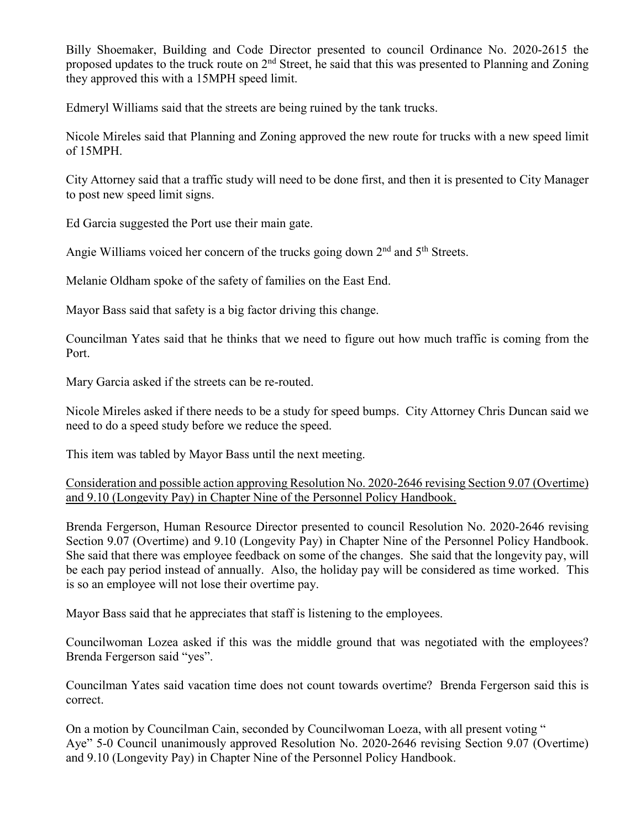Billy Shoemaker, Building and Code Director presented to council Ordinance No. 2020-2615 the proposed updates to the truck route on  $2<sup>nd</sup>$  Street, he said that this was presented to Planning and Zoning they approved this with a 15MPH speed limit.

Edmeryl Williams said that the streets are being ruined by the tank trucks.

Nicole Mireles said that Planning and Zoning approved the new route for trucks with a new speed limit of 15MPH.

City Attorney said that a traffic study will need to be done first, and then it is presented to City Manager to post new speed limit signs.

Ed Garcia suggested the Port use their main gate.

Angie Williams voiced her concern of the trucks going down  $2<sup>nd</sup>$  and  $5<sup>th</sup>$  Streets.

Melanie Oldham spoke of the safety of families on the East End.

Mayor Bass said that safety is a big factor driving this change.

Councilman Yates said that he thinks that we need to figure out how much traffic is coming from the Port.

Mary Garcia asked if the streets can be re-routed.

Nicole Mireles asked if there needs to be a study for speed bumps. City Attorney Chris Duncan said we need to do a speed study before we reduce the speed.

This item was tabled by Mayor Bass until the next meeting.

Consideration and possible action approving Resolution No. 2020-2646 revising Section 9.07 (Overtime) and 9.10 (Longevity Pay) in Chapter Nine of the Personnel Policy Handbook.

Brenda Fergerson, Human Resource Director presented to council Resolution No. 2020-2646 revising Section 9.07 (Overtime) and 9.10 (Longevity Pay) in Chapter Nine of the Personnel Policy Handbook. She said that there was employee feedback on some of the changes. She said that the longevity pay, will be each pay period instead of annually. Also, the holiday pay will be considered as time worked. This is so an employee will not lose their overtime pay.

Mayor Bass said that he appreciates that staff is listening to the employees.

Councilwoman Lozea asked if this was the middle ground that was negotiated with the employees? Brenda Fergerson said "yes".

Councilman Yates said vacation time does not count towards overtime? Brenda Fergerson said this is correct.

On a motion by Councilman Cain, seconded by Councilwoman Loeza, with all present voting " Aye" 5-0 Council unanimously approved Resolution No. 2020-2646 revising Section 9.07 (Overtime) and 9.10 (Longevity Pay) in Chapter Nine of the Personnel Policy Handbook.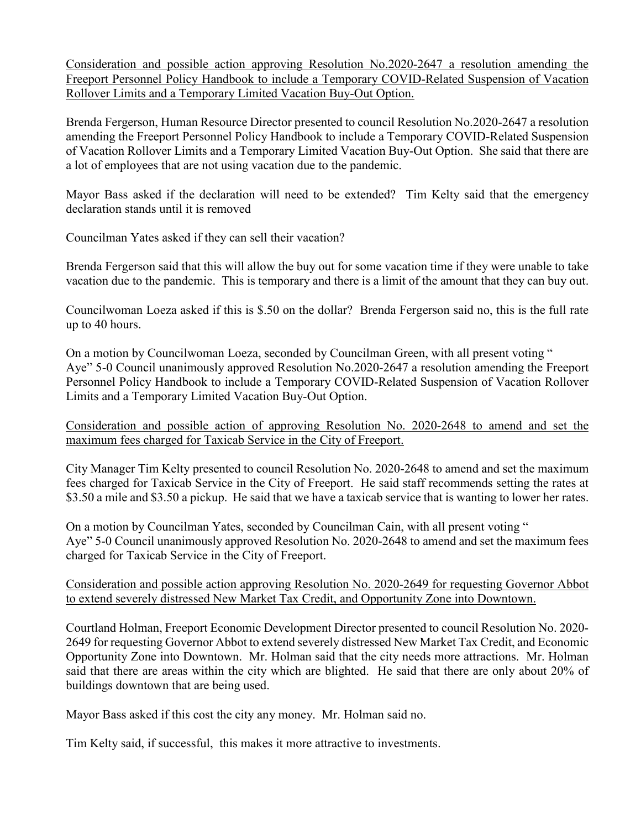Consideration and possible action approving Resolution No.2020-2647 a resolution amending the Freeport Personnel Policy Handbook to include a Temporary COVID-Related Suspension of Vacation Rollover Limits and a Temporary Limited Vacation Buy-Out Option.

Brenda Fergerson, Human Resource Director presented to council Resolution No.2020-2647 a resolution amending the Freeport Personnel Policy Handbook to include a Temporary COVID-Related Suspension of Vacation Rollover Limits and a Temporary Limited Vacation Buy-Out Option. She said that there are a lot of employees that are not using vacation due to the pandemic.

Mayor Bass asked if the declaration will need to be extended? Tim Kelty said that the emergency declaration stands until it is removed

Councilman Yates asked if they can sell their vacation?

Brenda Fergerson said that this will allow the buy out for some vacation time if they were unable to take vacation due to the pandemic. This is temporary and there is a limit of the amount that they can buy out.

Councilwoman Loeza asked if this is \$.50 on the dollar? Brenda Fergerson said no, this is the full rate up to 40 hours.

On a motion by Councilwoman Loeza, seconded by Councilman Green, with all present voting " Aye" 5-0 Council unanimously approved Resolution No.2020-2647 a resolution amending the Freeport Personnel Policy Handbook to include a Temporary COVID-Related Suspension of Vacation Rollover Limits and a Temporary Limited Vacation Buy-Out Option.

Consideration and possible action of approving Resolution No. 2020-2648 to amend and set the maximum fees charged for Taxicab Service in the City of Freeport.

City Manager Tim Kelty presented to council Resolution No. 2020-2648 to amend and set the maximum fees charged for Taxicab Service in the City of Freeport. He said staff recommends setting the rates at \$3.50 a mile and \$3.50 a pickup. He said that we have a taxicab service that is wanting to lower her rates.

On a motion by Councilman Yates, seconded by Councilman Cain, with all present voting " Aye" 5-0 Council unanimously approved Resolution No. 2020-2648 to amend and set the maximum fees charged for Taxicab Service in the City of Freeport.

Consideration and possible action approving Resolution No. 2020-2649 for requesting Governor Abbot to extend severely distressed New Market Tax Credit, and Opportunity Zone into Downtown.

Courtland Holman, Freeport Economic Development Director presented to council Resolution No. 2020- 2649 for requesting Governor Abbot to extend severely distressed New Market Tax Credit, and Economic Opportunity Zone into Downtown. Mr. Holman said that the city needs more attractions. Mr. Holman said that there are areas within the city which are blighted. He said that there are only about 20% of buildings downtown that are being used.

Mayor Bass asked if this cost the city any money. Mr. Holman said no.

Tim Kelty said, if successful, this makes it more attractive to investments.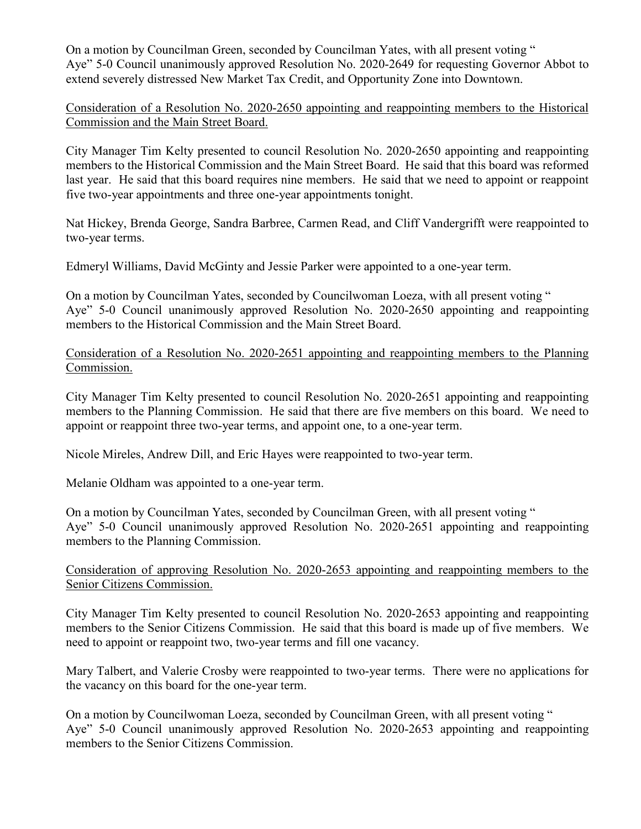On a motion by Councilman Green, seconded by Councilman Yates, with all present voting " Aye" 5-0 Council unanimously approved Resolution No. 2020-2649 for requesting Governor Abbot to extend severely distressed New Market Tax Credit, and Opportunity Zone into Downtown.

Consideration of a Resolution No. 2020-2650 appointing and reappointing members to the Historical Commission and the Main Street Board.

City Manager Tim Kelty presented to council Resolution No. 2020-2650 appointing and reappointing members to the Historical Commission and the Main Street Board. He said that this board was reformed last year. He said that this board requires nine members. He said that we need to appoint or reappoint five two-year appointments and three one-year appointments tonight.

Nat Hickey, Brenda George, Sandra Barbree, Carmen Read, and Cliff Vandergrifft were reappointed to two-year terms.

Edmeryl Williams, David McGinty and Jessie Parker were appointed to a one-year term.

On a motion by Councilman Yates, seconded by Councilwoman Loeza, with all present voting " Aye" 5-0 Council unanimously approved Resolution No. 2020-2650 appointing and reappointing members to the Historical Commission and the Main Street Board.

Consideration of a Resolution No. 2020-2651 appointing and reappointing members to the Planning Commission.

City Manager Tim Kelty presented to council Resolution No. 2020-2651 appointing and reappointing members to the Planning Commission. He said that there are five members on this board. We need to appoint or reappoint three two-year terms, and appoint one, to a one-year term.

Nicole Mireles, Andrew Dill, and Eric Hayes were reappointed to two-year term.

Melanie Oldham was appointed to a one-year term.

On a motion by Councilman Yates, seconded by Councilman Green, with all present voting " Aye" 5-0 Council unanimously approved Resolution No. 2020-2651 appointing and reappointing members to the Planning Commission.

# Consideration of approving Resolution No. 2020-2653 appointing and reappointing members to the Senior Citizens Commission.

City Manager Tim Kelty presented to council Resolution No. 2020-2653 appointing and reappointing members to the Senior Citizens Commission. He said that this board is made up of five members. We need to appoint or reappoint two, two-year terms and fill one vacancy.

Mary Talbert, and Valerie Crosby were reappointed to two-year terms. There were no applications for the vacancy on this board for the one-year term.

On a motion by Councilwoman Loeza, seconded by Councilman Green, with all present voting " Aye" 5-0 Council unanimously approved Resolution No. 2020-2653 appointing and reappointing members to the Senior Citizens Commission.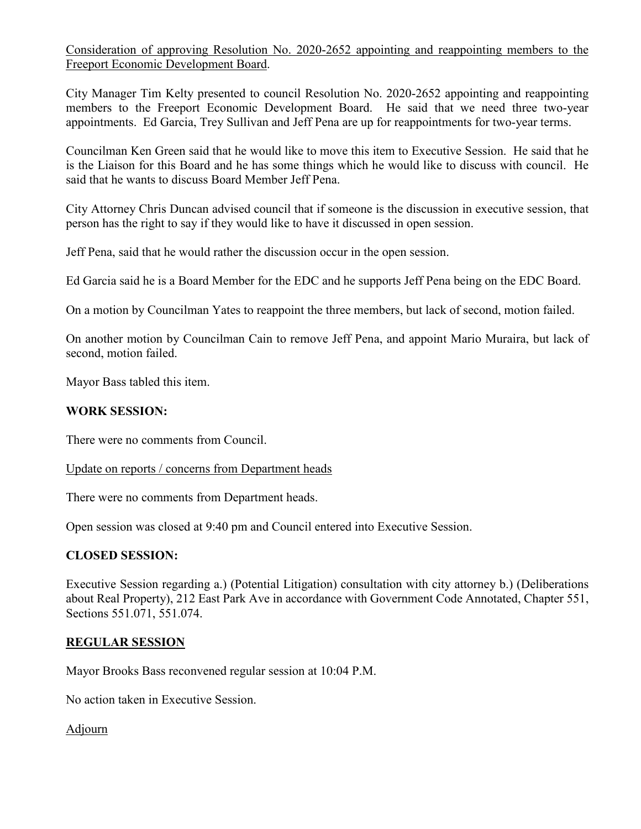Consideration of approving Resolution No. 2020-2652 appointing and reappointing members to the Freeport Economic Development Board.

City Manager Tim Kelty presented to council Resolution No. 2020-2652 appointing and reappointing members to the Freeport Economic Development Board. He said that we need three two-year appointments. Ed Garcia, Trey Sullivan and Jeff Pena are up for reappointments for two-year terms.

Councilman Ken Green said that he would like to move this item to Executive Session. He said that he is the Liaison for this Board and he has some things which he would like to discuss with council. He said that he wants to discuss Board Member Jeff Pena.

City Attorney Chris Duncan advised council that if someone is the discussion in executive session, that person has the right to say if they would like to have it discussed in open session.

Jeff Pena, said that he would rather the discussion occur in the open session.

Ed Garcia said he is a Board Member for the EDC and he supports Jeff Pena being on the EDC Board.

On a motion by Councilman Yates to reappoint the three members, but lack of second, motion failed.

On another motion by Councilman Cain to remove Jeff Pena, and appoint Mario Muraira, but lack of second, motion failed.

Mayor Bass tabled this item.

### **WORK SESSION:**

There were no comments from Council.

#### Update on reports / concerns from Department heads

There were no comments from Department heads.

Open session was closed at 9:40 pm and Council entered into Executive Session.

### **CLOSED SESSION:**

Executive Session regarding a.) (Potential Litigation) consultation with city attorney b.) (Deliberations about Real Property), 212 East Park Ave in accordance with Government Code Annotated, Chapter 551, Sections 551.071, 551.074.

### **REGULAR SESSION**

Mayor Brooks Bass reconvened regular session at 10:04 P.M.

No action taken in Executive Session.

Adjourn